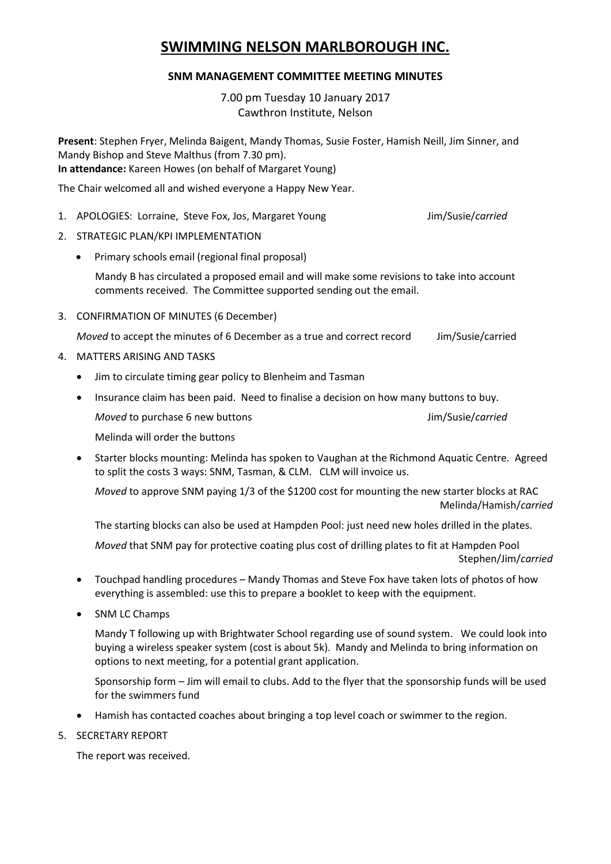# **SWIMMING NELSON MARLBOROUGH INC.**

## **SNM MANAGEMENT COMMITTEE MEETING MINUTES**

7.00 pm Tuesday 10 January 2017 Cawthron Institute, Nelson

**Present**: Stephen Fryer, Melinda Baigent, Mandy Thomas, Susie Foster, Hamish Neill, Jim Sinner, and Mandy Bishop and Steve Malthus (from 7.30 pm). **In attendance:** Kareen Howes (on behalf of Margaret Young)

The Chair welcomed all and wished everyone a Happy New Year.

- 1. APOLOGIES: Lorraine, Steve Fox, Jos, Margaret Young **Juliet Access Margaret Steve Access** Jim/Susie/carried
- 2. STRATEGIC PLAN/KPI IMPLEMENTATION
	- Primary schools email (regional final proposal)

Mandy B has circulated a proposed email and will make some revisions to take into account comments received. The Committee supported sending out the email.

3. CONFIRMATION OF MINUTES (6 December)

*Moved* to accept the minutes of 6 December as a true and correct record Jim/Susie/carried

- 4. MATTERS ARISING AND TASKS
	- Jim to circulate timing gear policy to Blenheim and Tasman
	- Insurance claim has been paid. Need to finalise a decision on how many buttons to buy. *Moved* to purchase 6 new buttons **Jim/Susie/***carried* Melinda will order the buttons
	- Starter blocks mounting: Melinda has spoken to Vaughan at the Richmond Aquatic Centre. Agreed to split the costs 3 ways: SNM, Tasman, & CLM. CLM will invoice us.

*Moved* to approve SNM paying 1/3 of the \$1200 cost for mounting the new starter blocks at RAC Melinda/Hamish/*carried*

The starting blocks can also be used at Hampden Pool: just need new holes drilled in the plates.

*Moved* that SNM pay for protective coating plus cost of drilling plates to fit at Hampden Pool Stephen/Jim/*carried*

- Touchpad handling procedures Mandy Thomas and Steve Fox have taken lots of photos of how everything is assembled: use this to prepare a booklet to keep with the equipment.
- SNM LC Champs

Mandy T following up with Brightwater School regarding use of sound system. We could look into buying a wireless speaker system (cost is about 5k). Mandy and Melinda to bring information on options to next meeting, for a potential grant application.

Sponsorship form – Jim will email to clubs. Add to the flyer that the sponsorship funds will be used for the swimmers fund

- Hamish has contacted coaches about bringing a top level coach or swimmer to the region.
- 5. SECRETARY REPORT

The report was received.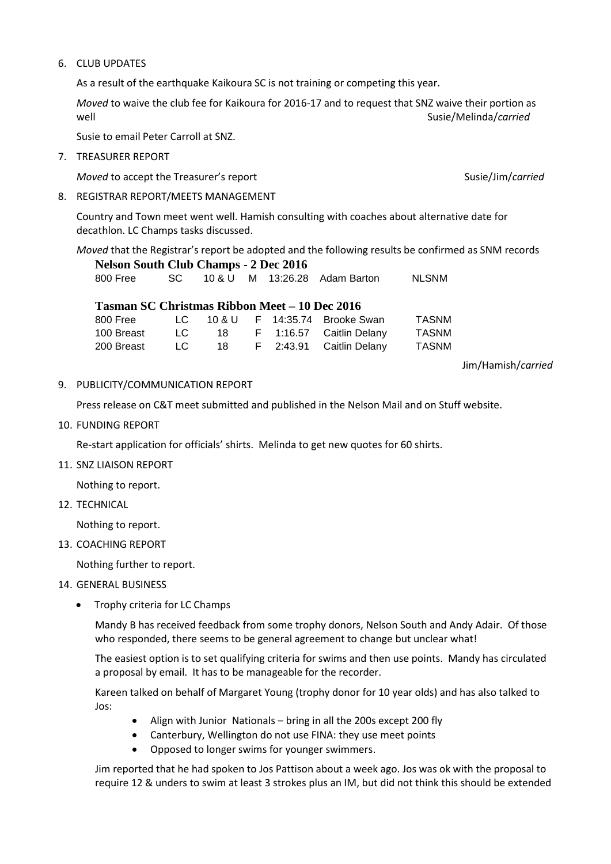#### 6. CLUB UPDATES

As a result of the earthquake Kaikoura SC is not training or competing this year.

*Moved* to waive the club fee for Kaikoura for 2016-17 and to request that SNZ waive their portion as well and the susieful support of the set of the set of the set of the set of the set of the set of the set of the set of the set of the set of the set of the set of the set of the set of the set of the set of the set of th

Susie to email Peter Carroll at SNZ.

7. TREASURER REPORT

*Moved* to accept the Treasurer's report Susie/Jim/carried Susie/Jim/carried

8. REGISTRAR REPORT/MEETS MANAGEMENT

Country and Town meet went well. Hamish consulting with coaches about alternative date for decathlon. LC Champs tasks discussed.

*Moved* that the Registrar's report be adopted and the following results be confirmed as SNM records **Nelson South Club Champs - 2 Dec 2016**

| SC 10 & U M 13:26.28 Adam Barton | 800 Free |  |  |  |  |  | <b>NLSNM</b> |
|----------------------------------|----------|--|--|--|--|--|--------------|
|----------------------------------|----------|--|--|--|--|--|--------------|

### **Tasman SC Christmas Ribbon Meet – 10 Dec 2016**

| 800 Free   |     |     |  | $LC$ 10 & U F 14:35.74 Brooke Swan | TASNM |
|------------|-----|-----|--|------------------------------------|-------|
| 100 Breast | LG. | -18 |  | F 1:16.57 Caitlin Delany           | TASNM |
| 200 Breast | LC. | 18. |  | F 2:43.91 Caitlin Delany           | TASNM |

Jim/Hamish/*carried*

9. PUBLICITY/COMMUNICATION REPORT

Press release on C&T meet submitted and published in the Nelson Mail and on Stuff website.

10. FUNDING REPORT

Re-start application for officials' shirts. Melinda to get new quotes for 60 shirts.

11. SNZ LIAISON REPORT

Nothing to report.

12. TECHNICAL

Nothing to report.

13. COACHING REPORT

Nothing further to report.

#### 14. GENERAL BUSINESS

• Trophy criteria for LC Champs

Mandy B has received feedback from some trophy donors, Nelson South and Andy Adair. Of those who responded, there seems to be general agreement to change but unclear what!

The easiest option is to set qualifying criteria for swims and then use points. Mandy has circulated a proposal by email. It has to be manageable for the recorder.

Kareen talked on behalf of Margaret Young (trophy donor for 10 year olds) and has also talked to Jos:

- Align with Junior Nationals bring in all the 200s except 200 fly
- Canterbury, Wellington do not use FINA: they use meet points
- Opposed to longer swims for younger swimmers.

Jim reported that he had spoken to Jos Pattison about a week ago. Jos was ok with the proposal to require 12 & unders to swim at least 3 strokes plus an IM, but did not think this should be extended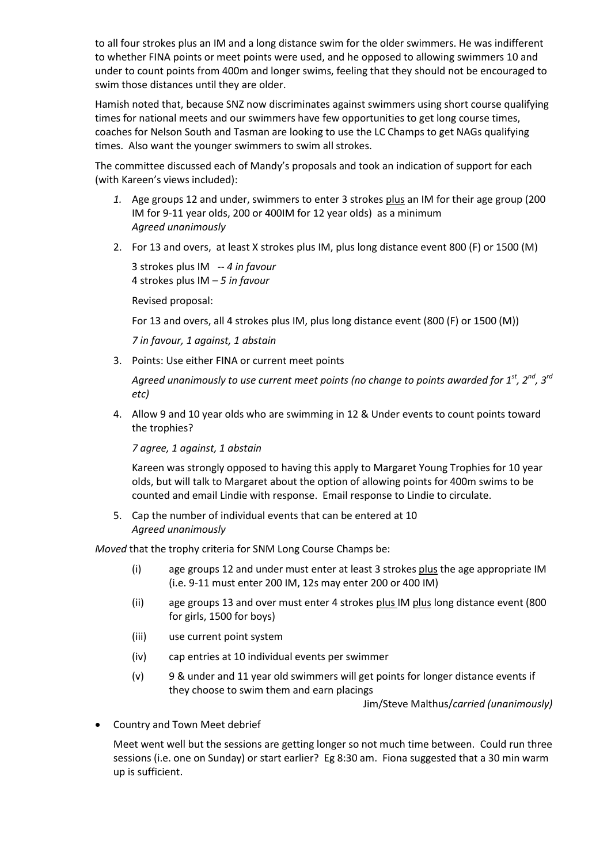to all four strokes plus an IM and a long distance swim for the older swimmers. He was indifferent to whether FINA points or meet points were used, and he opposed to allowing swimmers 10 and under to count points from 400m and longer swims, feeling that they should not be encouraged to swim those distances until they are older.

Hamish noted that, because SNZ now discriminates against swimmers using short course qualifying times for national meets and our swimmers have few opportunities to get long course times, coaches for Nelson South and Tasman are looking to use the LC Champs to get NAGs qualifying times. Also want the younger swimmers to swim all strokes.

The committee discussed each of Mandy's proposals and took an indication of support for each (with Kareen's views included):

- *1.* Age groups 12 and under, swimmers to enter 3 strokes plus an IM for their age group (200 IM for 9-11 year olds, 200 or 400IM for 12 year olds) as a minimum *Agreed unanimously*
- 2. For 13 and overs, at least X strokes plus IM, plus long distance event 800 (F) or 1500 (M)

3 strokes plus IM -- *4 in favour* 4 strokes plus IM – *5 in favour*

Revised proposal:

For 13 and overs, all 4 strokes plus IM, plus long distance event (800 (F) or 1500 (M))

*7 in favour, 1 against, 1 abstain*

3. Points: Use either FINA or current meet points

*Agreed unanimously to use current meet points (no change to points awarded for 1st, 2nd, 3rd etc)*

4. Allow 9 and 10 year olds who are swimming in 12 & Under events to count points toward the trophies?

*7 agree, 1 against, 1 abstain*

Kareen was strongly opposed to having this apply to Margaret Young Trophies for 10 year olds, but will talk to Margaret about the option of allowing points for 400m swims to be counted and email Lindie with response. Email response to Lindie to circulate.

5. Cap the number of individual events that can be entered at 10 *Agreed unanimously*

*Moved* that the trophy criteria for SNM Long Course Champs be:

- (i) age groups 12 and under must enter at least 3 strokes plus the age appropriate IM (i.e. 9-11 must enter 200 IM, 12s may enter 200 or 400 IM)
- (ii) age groups 13 and over must enter 4 strokes plus IM plus long distance event (800 for girls, 1500 for boys)
- (iii) use current point system
- (iv) cap entries at 10 individual events per swimmer
- (v) 9 & under and 11 year old swimmers will get points for longer distance events if they choose to swim them and earn placings

Jim/Steve Malthus/*carried (unanimously)*

Country and Town Meet debrief

Meet went well but the sessions are getting longer so not much time between. Could run three sessions (i.e. one on Sunday) or start earlier? Eg 8:30 am. Fiona suggested that a 30 min warm up is sufficient.